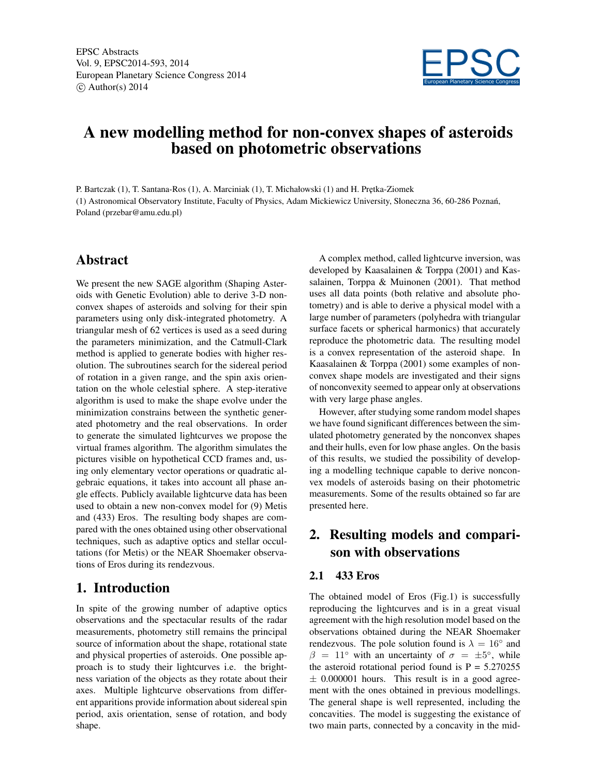

# A new modelling method for non-convex shapes of asteroids based on photometric observations

P. Bartczak (1), T. Santana-Ros (1), A. Marciniak (1), T. Michałowski (1) and H. Prętka-Ziomek (1) Astronomical Observatory Institute, Faculty of Physics, Adam Mickiewicz University, Słoneczna 36, 60-286 Poznan,´ Poland (przebar@amu.edu.pl)

### Abstract

We present the new SAGE algorithm (Shaping Asteroids with Genetic Evolution) able to derive 3-D nonconvex shapes of asteroids and solving for their spin parameters using only disk-integrated photometry. A triangular mesh of 62 vertices is used as a seed during the parameters minimization, and the Catmull-Clark method is applied to generate bodies with higher resolution. The subroutines search for the sidereal period of rotation in a given range, and the spin axis orientation on the whole celestial sphere. A step-iterative algorithm is used to make the shape evolve under the minimization constrains between the synthetic generated photometry and the real observations. In order to generate the simulated lightcurves we propose the virtual frames algorithm. The algorithm simulates the pictures visible on hypothetical CCD frames and, using only elementary vector operations or quadratic algebraic equations, it takes into account all phase angle effects. Publicly available lightcurve data has been used to obtain a new non-convex model for (9) Metis and (433) Eros. The resulting body shapes are compared with the ones obtained using other observational techniques, such as adaptive optics and stellar occultations (for Metis) or the NEAR Shoemaker observations of Eros during its rendezvous.

### 1. Introduction

In spite of the growing number of adaptive optics observations and the spectacular results of the radar measurements, photometry still remains the principal source of information about the shape, rotational state and physical properties of asteroids. One possible approach is to study their lightcurves i.e. the brightness variation of the objects as they rotate about their axes. Multiple lightcurve observations from different apparitions provide information about sidereal spin period, axis orientation, sense of rotation, and body shape.

A complex method, called lightcurve inversion, was developed by Kaasalainen & Torppa (2001) and Kassalainen, Torppa & Muinonen (2001). That method uses all data points (both relative and absolute photometry) and is able to derive a physical model with a large number of parameters (polyhedra with triangular surface facets or spherical harmonics) that accurately reproduce the photometric data. The resulting model is a convex representation of the asteroid shape. In Kaasalainen & Torppa (2001) some examples of nonconvex shape models are investigated and their signs of nonconvexity seemed to appear only at observations with very large phase angles.

However, after studying some random model shapes we have found significant differences between the simulated photometry generated by the nonconvex shapes and their hulls, even for low phase angles. On the basis of this results, we studied the possibility of developing a modelling technique capable to derive nonconvex models of asteroids basing on their photometric measurements. Some of the results obtained so far are presented here.

## 2. Resulting models and comparison with observations

#### 2.1 433 Eros

The obtained model of Eros (Fig.1) is successfully reproducing the lightcurves and is in a great visual agreement with the high resolution model based on the observations obtained during the NEAR Shoemaker rendezvous. The pole solution found is  $\lambda = 16^\circ$  and  $\beta = 11^{\circ}$  with an uncertainty of  $\sigma = \pm 5^{\circ}$ , while the asteroid rotational period found is  $P = 5.270255$  $\pm$  0.000001 hours. This result is in a good agreement with the ones obtained in previous modellings. The general shape is well represented, including the concavities. The model is suggesting the existance of two main parts, connected by a concavity in the mid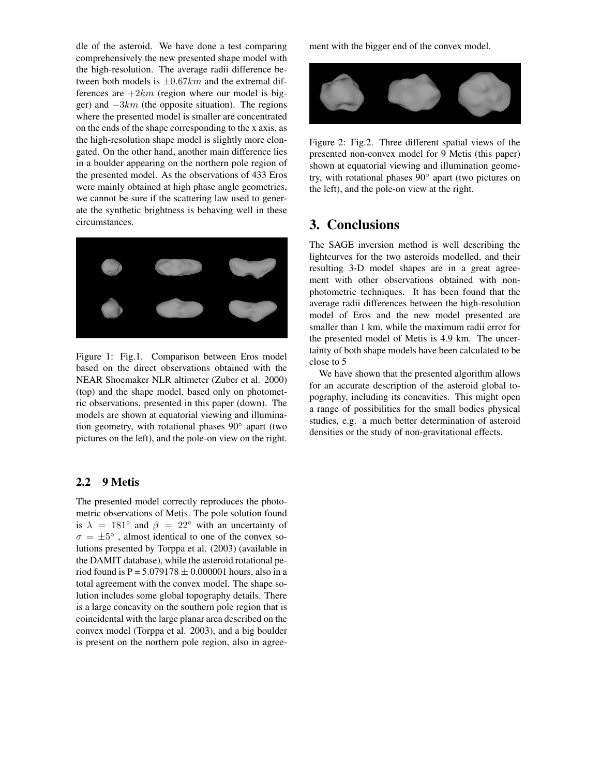dle of the asteroid. We have done a test comparing comprehensively the new presented shape model with the high-resolution. The average radii difference between both models is  $\pm 0.67 km$  and the extremal differences are  $+2km$  (region where our model is bigger) and  $-3km$  (the opposite situation). The regions where the presented model is smaller are concentrated on the ends of the shape corresponding to the x axis, as the high-resolution shape model is slightly more elongated. On the other hand, another main difference lies in a boulder appearing on the northern pole region of the presented model. As the observations of 433 Eros were mainly obtained at high phase angle geometries, we cannot be sure if the scattering law used to generate the synthetic brightness is behaving well in these circumstances.



Figure 1: Fig.1. Comparison between Eros model based on the direct observations obtained with the NEAR Shoemaker NLR altimeter (Zuber et al. 2000) (top) and the shape model, based only on photometric observations, presented in this paper (down). The models are shown at equatorial viewing and illumination geometry, with rotational phases 90◦ apart (two pictures on the left), and the pole-on view on the right.

#### 2.2 9 Metis

The presented model correctly reproduces the photometric observations of Metis. The pole solution found is  $\lambda = 181^\circ$  and  $\beta = 22^\circ$  with an uncertainty of  $\sigma = \pm 5^{\circ}$ , almost identical to one of the convex solutions presented by Torppa et al. (2003) (available in the DAMIT database), while the asteroid rotational period found is  $P = 5.079178 \pm 0.000001$  hours, also in a total agreement with the convex model. The shape solution includes some global topography details. There is a large concavity on the southern pole region that is coincidental with the large planar area described on the convex model (Torppa et al. 2003), and a big boulder is present on the northern pole region, also in agreement with the bigger end of the convex model.



Figure 2: Fig.2. Three different spatial views of the presented non-convex model for 9 Metis (this paper) shown at equatorial viewing and illumination geometry, with rotational phases 90◦ apart (two pictures on the left), and the pole-on view at the right.

### 3. Conclusions

The SAGE inversion method is well describing the lightcurves for the two asteroids modelled, and their resulting 3-D model shapes are in a great agreement with other observations obtained with nonphotometric techniques. It has been found that the average radii differences between the high-resolution model of Eros and the new model presented are smaller than 1 km, while the maximum radii error for the presented model of Metis is 4.9 km. The uncertainty of both shape models have been calculated to be close to 5

We have shown that the presented algorithm allows for an accurate description of the asteroid global topography, including its concavities. This might open a range of possibilities for the small bodies physical studies, e.g. a much better determination of asteroid densities or the study of non-gravitational effects.